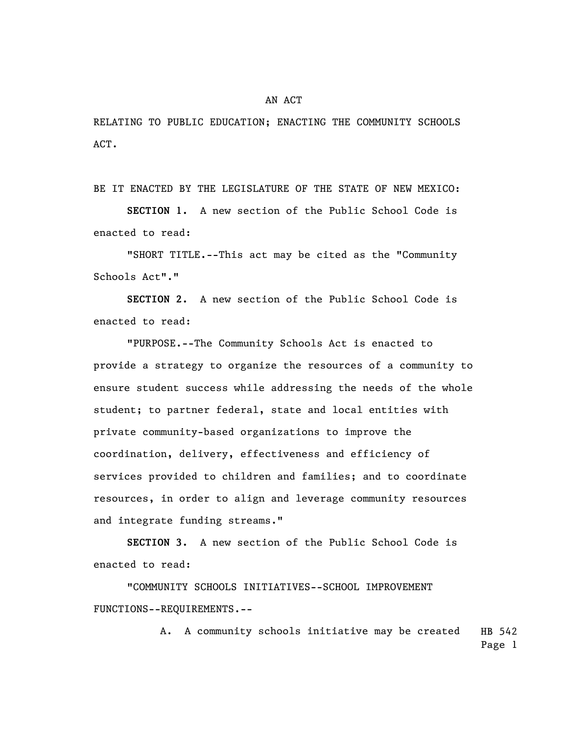RELATING TO PUBLIC EDUCATION; ENACTING THE COMMUNITY SCHOOLS ACT.

BE IT ENACTED BY THE LEGISLATURE OF THE STATE OF NEW MEXICO:

**SECTION 1.** A new section of the Public School Code is enacted to read:

"SHORT TITLE.--This act may be cited as the "Community Schools Act"."

**SECTION 2.** A new section of the Public School Code is enacted to read:

"PURPOSE.--The Community Schools Act is enacted to provide a strategy to organize the resources of a community to ensure student success while addressing the needs of the whole student; to partner federal, state and local entities with private community-based organizations to improve the coordination, delivery, effectiveness and efficiency of services provided to children and families; and to coordinate resources, in order to align and leverage community resources and integrate funding streams."

**SECTION 3.** A new section of the Public School Code is enacted to read:

"COMMUNITY SCHOOLS INITIATIVES--SCHOOL IMPROVEMENT FUNCTIONS--REQUIREMENTS.--

> HB 542 Page 1 A. A community schools initiative may be created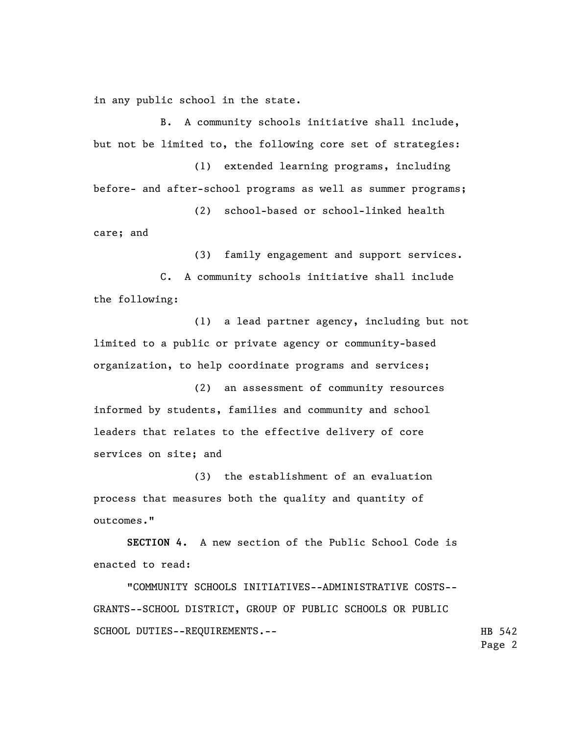in any public school in the state.

B. A community schools initiative shall include, but not be limited to, the following core set of strategies:

(1) extended learning programs, including before- and after-school programs as well as summer programs;

(2) school-based or school-linked health care; and

(3) family engagement and support services.

C. A community schools initiative shall include the following:

(1) a lead partner agency, including but not limited to a public or private agency or community-based organization, to help coordinate programs and services;

(2) an assessment of community resources informed by students, families and community and school leaders that relates to the effective delivery of core services on site; and

(3) the establishment of an evaluation process that measures both the quality and quantity of outcomes."

**SECTION 4.** A new section of the Public School Code is enacted to read:

"COMMUNITY SCHOOLS INITIATIVES--ADMINISTRATIVE COSTS-- GRANTS--SCHOOL DISTRICT, GROUP OF PUBLIC SCHOOLS OR PUBLIC SCHOOL DUTIES--REQUIREMENTS.--

HB 542 Page 2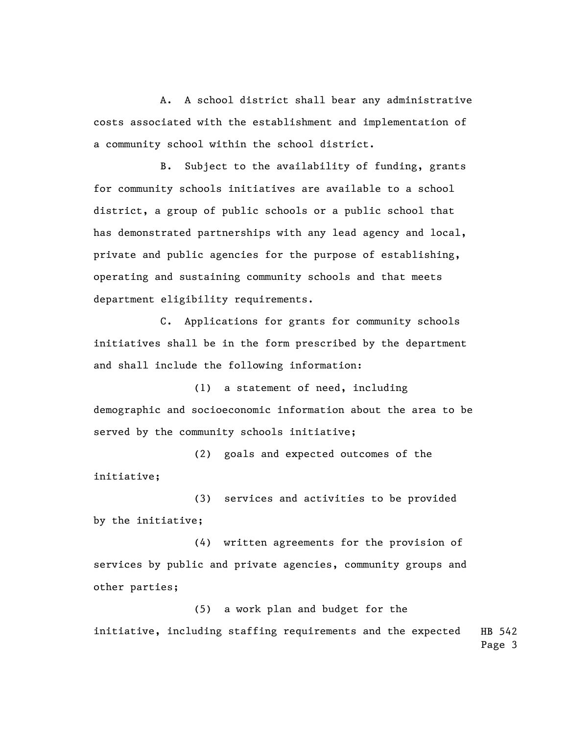A. A school district shall bear any administrative costs associated with the establishment and implementation of a community school within the school district.

B. Subject to the availability of funding, grants for community schools initiatives are available to a school district, a group of public schools or a public school that has demonstrated partnerships with any lead agency and local, private and public agencies for the purpose of establishing, operating and sustaining community schools and that meets department eligibility requirements.

C. Applications for grants for community schools initiatives shall be in the form prescribed by the department and shall include the following information:

(1) a statement of need, including demographic and socioeconomic information about the area to be served by the community schools initiative;

(2) goals and expected outcomes of the initiative;

(3) services and activities to be provided by the initiative;

(4) written agreements for the provision of services by public and private agencies, community groups and other parties;

(5) a work plan and budget for the

HB 542 Page 3 initiative, including staffing requirements and the expected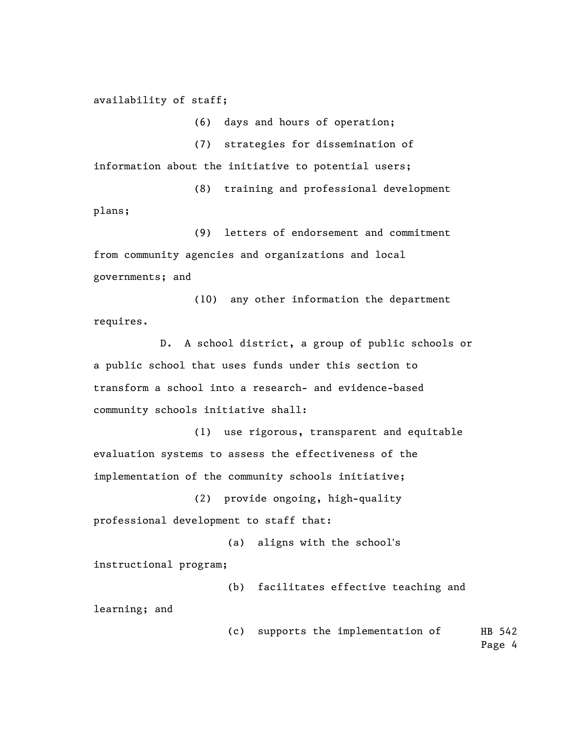## availability of staff;

(6) days and hours of operation;

(7) strategies for dissemination of

information about the initiative to potential users;

(8) training and professional development plans;

(9) letters of endorsement and commitment from community agencies and organizations and local governments; and

(10) any other information the department requires.

D. A school district, a group of public schools or a public school that uses funds under this section to transform a school into a research- and evidence-based community schools initiative shall:

(1) use rigorous, transparent and equitable evaluation systems to assess the effectiveness of the implementation of the community schools initiative;

(2) provide ongoing, high-quality professional development to staff that:

(a) aligns with the school's

instructional program;

(b) facilitates effective teaching and

learning; and

HB 542 (c) supports the implementation of

Page 4